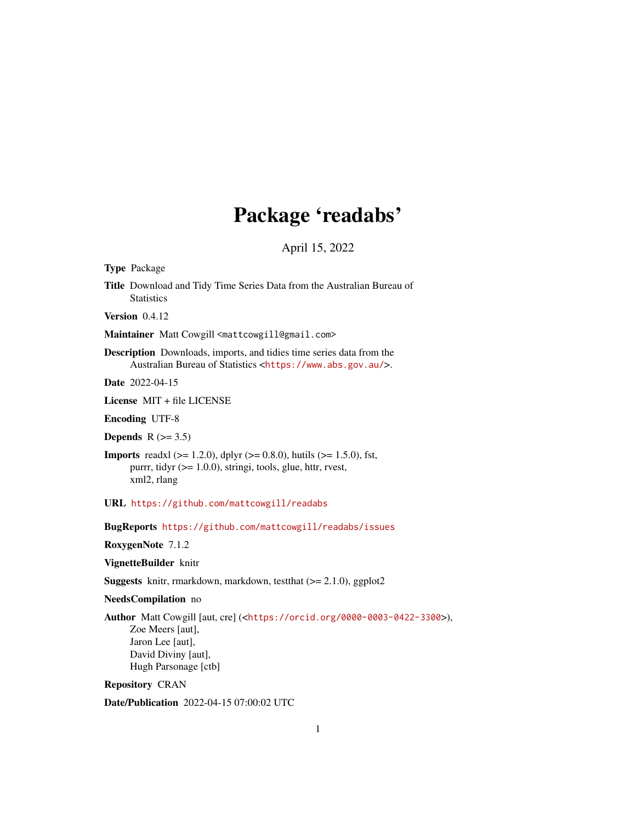# Package 'readabs'

April 15, 2022

Type Package

Title Download and Tidy Time Series Data from the Australian Bureau of **Statistics** 

Version 0.4.12

Maintainer Matt Cowgill <mattcowgill@gmail.com>

Description Downloads, imports, and tidies time series data from the Australian Bureau of Statistics <<https://www.abs.gov.au/>>.

Date 2022-04-15

License MIT + file LICENSE

Encoding UTF-8

Depends  $R$  ( $>= 3.5$ )

**Imports** readxl ( $>= 1.2.0$ ), dplyr ( $>= 0.8.0$ ), hutils ( $>= 1.5.0$ ), fst, purrr, tidyr (>= 1.0.0), stringi, tools, glue, httr, rvest, xml2, rlang

URL <https://github.com/mattcowgill/readabs>

BugReports <https://github.com/mattcowgill/readabs/issues>

RoxygenNote 7.1.2

VignetteBuilder knitr

Suggests knitr, rmarkdown, markdown, testthat (>= 2.1.0), ggplot2

NeedsCompilation no

Author Matt Cowgill [aut, cre] (<<https://orcid.org/0000-0003-0422-3300>>), Zoe Meers [aut], Jaron Lee [aut], David Diviny [aut], Hugh Parsonage [ctb]

Repository CRAN

Date/Publication 2022-04-15 07:00:02 UTC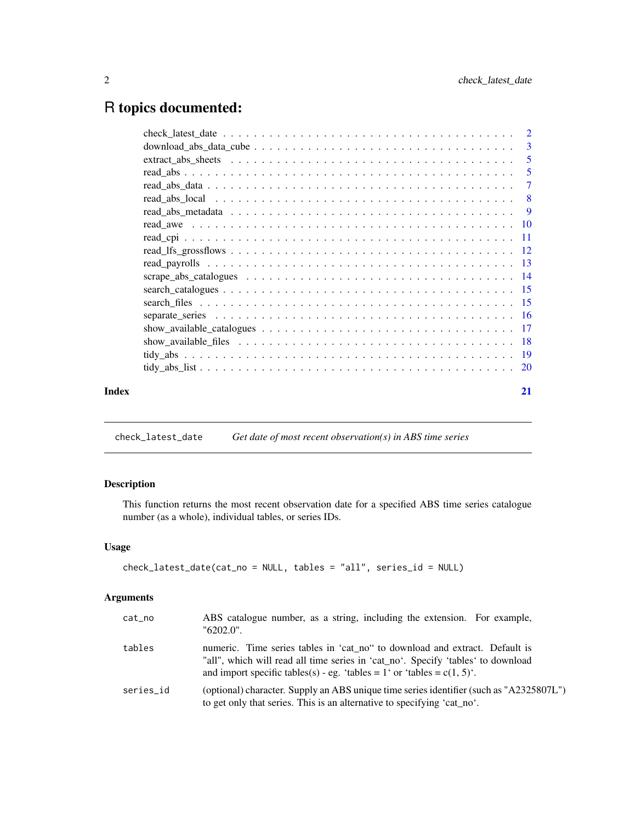# <span id="page-1-0"></span>R topics documented:

| Index | 21 |
|-------|----|

check\_latest\_date *Get date of most recent observation(s) in ABS time series*

# Description

This function returns the most recent observation date for a specified ABS time series catalogue number (as a whole), individual tables, or series IDs.

# Usage

```
check_latest_date(cat_no = NULL, tables = "all", series_id = NULL)
```

| cat_no    | ABS catalogue number, as a string, including the extension. For example,<br>"6202.0".                                                                                                                                                         |
|-----------|-----------------------------------------------------------------------------------------------------------------------------------------------------------------------------------------------------------------------------------------------|
| tables    | numeric. Time series tables in 'cat no" to download and extract. Default is<br>"all", which will read all time series in 'cat_no'. Specify 'tables' to download<br>and import specific tables(s) - eg. 'tables = 1' or 'tables = $c(1, 5)$ '. |
| series id | (optional) character. Supply an ABS unique time series identifier (such as "A2325807L")<br>to get only that series. This is an alternative to specifying 'cat_no'.                                                                            |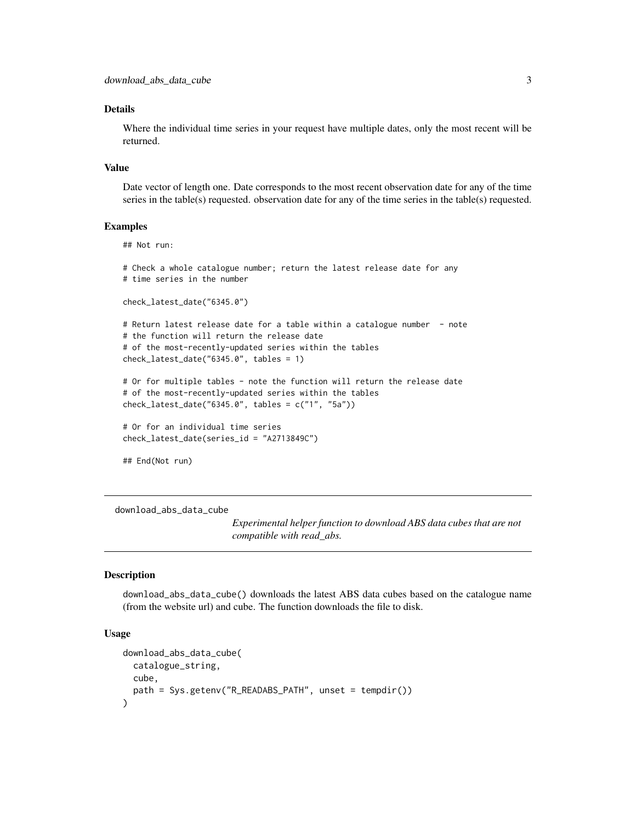#### <span id="page-2-0"></span>Details

Where the individual time series in your request have multiple dates, only the most recent will be returned.

#### Value

Date vector of length one. Date corresponds to the most recent observation date for any of the time series in the table(s) requested. observation date for any of the time series in the table(s) requested.

#### Examples

```
## Not run:
# Check a whole catalogue number; return the latest release date for any
# time series in the number
check_latest_date("6345.0")
# Return latest release date for a table within a catalogue number - note
# the function will return the release date
# of the most-recently-updated series within the tables
check_latest_date("6345.0", tables = 1)
# Or for multiple tables - note the function will return the release date
# of the most-recently-updated series within the tables
check_latest_date("6345.0", tables = c("1", "5a"))
# Or for an individual time series
check_latest_date(series_id = "A2713849C")
## End(Not run)
```
<span id="page-2-1"></span>download\_abs\_data\_cube

*Experimental helper function to download ABS data cubes that are not compatible with read\_abs.*

# Description

download\_abs\_data\_cube() downloads the latest ABS data cubes based on the catalogue name (from the website url) and cube. The function downloads the file to disk.

## Usage

```
download_abs_data_cube(
  catalogue_string,
  cube,
 path = Sys.getenv("R_READABS_PATH", unset = tempdir())
)
```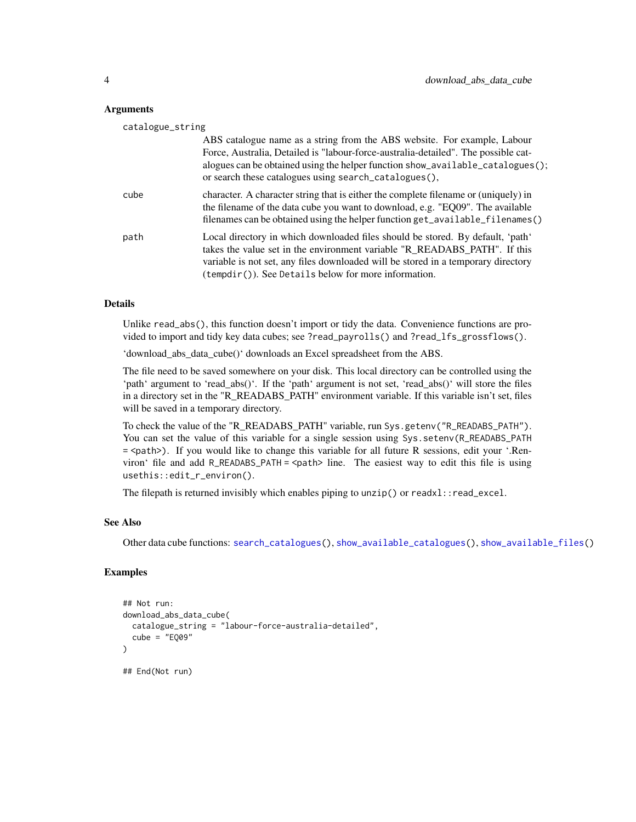#### <span id="page-3-0"></span>Arguments

| catalogue_string |                                                                                                                                                                                                                                                                                                                    |
|------------------|--------------------------------------------------------------------------------------------------------------------------------------------------------------------------------------------------------------------------------------------------------------------------------------------------------------------|
|                  | ABS catalogue name as a string from the ABS website. For example, Labour<br>Force, Australia, Detailed is "labour-force-australia-detailed". The possible cat-<br>alogues can be obtained using the helper function show_available_catalogues();<br>or search these catalogues using search_catalogues(),          |
| cube             | character. A character string that is either the complete filename or (uniquely) in<br>the filename of the data cube you want to download, e.g. "EQ09". The available<br>filenames can be obtained using the helper function get_available_filenames()                                                             |
| path             | Local directory in which downloaded files should be stored. By default, 'path'<br>takes the value set in the environment variable "R_READABS_PATH". If this<br>variable is not set, any files downloaded will be stored in a temporary directory<br>$($ tempdir $($ $)$ ). See Details below for more information. |

#### Details

Unlike read\_abs(), this function doesn't import or tidy the data. Convenience functions are provided to import and tidy key data cubes; see ?read\_payrolls() and ?read\_lfs\_grossflows().

'download\_abs\_data\_cube()' downloads an Excel spreadsheet from the ABS.

The file need to be saved somewhere on your disk. This local directory can be controlled using the 'path' argument to 'read\_abs()'. If the 'path' argument is not set, 'read\_abs()' will store the files in a directory set in the "R\_READABS\_PATH" environment variable. If this variable isn't set, files will be saved in a temporary directory.

To check the value of the "R\_READABS\_PATH" variable, run Sys.getenv("R\_READABS\_PATH"). You can set the value of this variable for a single session using Sys.setenv(R\_READABS\_PATH = <path>). If you would like to change this variable for all future R sessions, edit your '.Renviron' file and add R\_READABS\_PATH = <path> line. The easiest way to edit this file is using usethis::edit\_r\_environ().

The filepath is returned invisibly which enables piping to  $unzip()$  or read $x$ l: read\_excel.

#### See Also

Other data cube functions: [search\\_catalogues\(](#page-14-1)), [show\\_available\\_catalogues\(](#page-16-1)), [show\\_available\\_files\(](#page-17-1))

#### Examples

```
## Not run:
download_abs_data_cube(
 catalogue_string = "labour-force-australia-detailed",
 cube = "EQ09")
## End(Not run)
```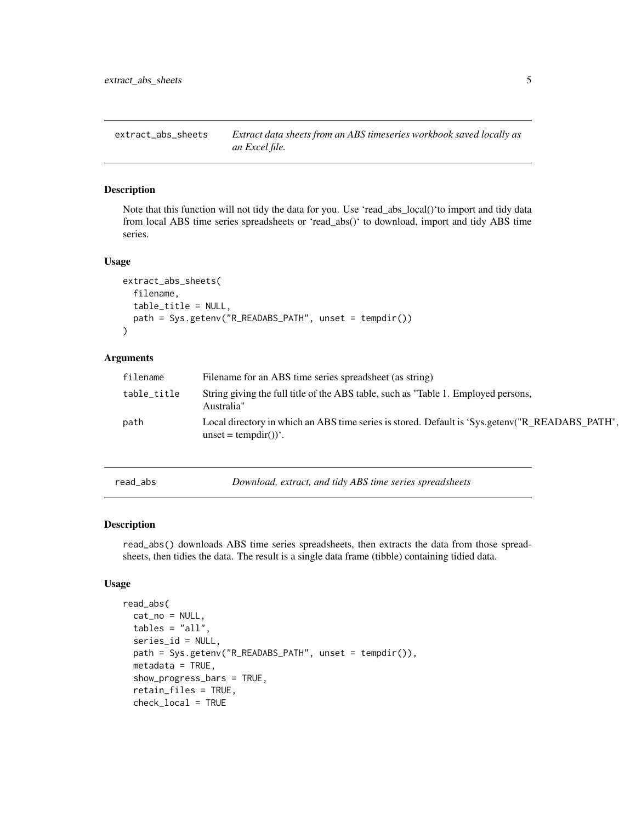<span id="page-4-0"></span>extract\_abs\_sheets *Extract data sheets from an ABS timeseries workbook saved locally as an Excel file.*

# Description

Note that this function will not tidy the data for you. Use 'read\_abs\_local()'to import and tidy data from local ABS time series spreadsheets or 'read\_abs()' to download, import and tidy ABS time series.

#### Usage

```
extract_abs_sheets(
  filename,
  table_title = NULL,
 path = Sys.getenv("R_READABS_PATH", unset = tempdir())
)
```
# Arguments

| filename    | Filename for an ABS time series spreadsheet (as string)                                                                                |
|-------------|----------------------------------------------------------------------------------------------------------------------------------------|
| table_title | String giving the full title of the ABS table, such as "Table 1. Employed persons,<br>Australia"                                       |
| path        | Local directory in which an ABS time series is stored. Default is 'Sys.getenv("R READABS PATH",<br>$\text{unset} = \text{tempdir}()$ . |

read\_abs *Download, extract, and tidy ABS time series spreadsheets*

#### Description

read\_abs() downloads ABS time series spreadsheets, then extracts the data from those spreadsheets, then tidies the data. The result is a single data frame (tibble) containing tidied data.

#### Usage

```
read_abs(
  cat_no = NULL,
  tables = "all",series_id = NULL,
  path = Sys.getenv("R_READABS_PATH", unset = tempdir()),
 metadata = TRUE,show_progress_bars = TRUE,
  retain_files = TRUE,
  check_local = TRUE
```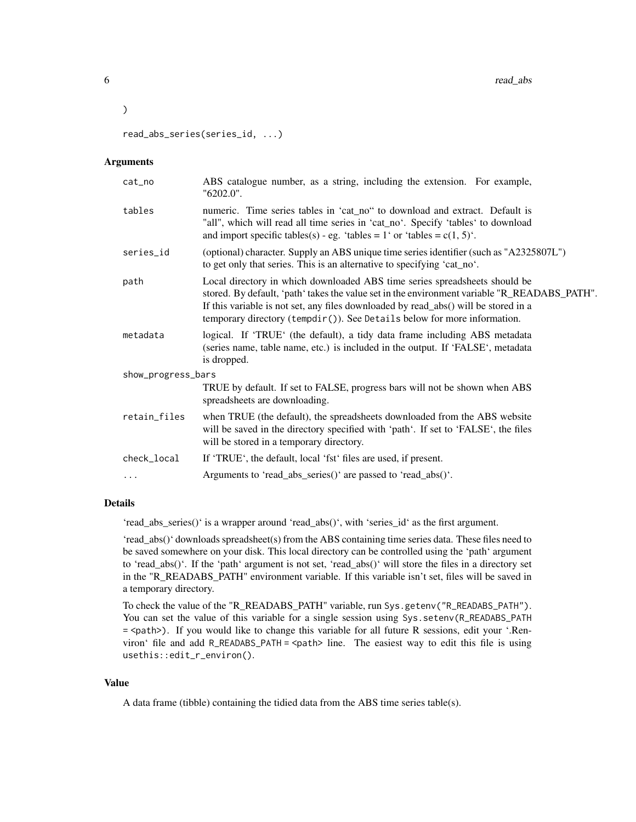read\_abs\_series(series\_id, ...)

#### Arguments

 $\mathcal{L}$ 

| cat_no             | ABS catalogue number, as a string, including the extension. For example,<br>"6202.0".                                                                                                                                                                                                                                                                       |
|--------------------|-------------------------------------------------------------------------------------------------------------------------------------------------------------------------------------------------------------------------------------------------------------------------------------------------------------------------------------------------------------|
| tables             | numeric. Time series tables in 'cat_no" to download and extract. Default is<br>"all", which will read all time series in 'cat_no'. Specify 'tables' to download<br>and import specific tables(s) - eg. 'tables = 1' or 'tables = $c(1, 5)$ '.                                                                                                               |
| series_id          | (optional) character. Supply an ABS unique time series identifier (such as "A2325807L")<br>to get only that series. This is an alternative to specifying 'cat_no'.                                                                                                                                                                                          |
| path               | Local directory in which downloaded ABS time series spreadsheets should be<br>stored. By default, 'path' takes the value set in the environment variable "R_READABS_PATH".<br>If this variable is not set, any files downloaded by read_abs() will be stored in a<br>temporary directory $($ temp $\text{dir}()$ ). See Details below for more information. |
| metadata           | logical. If 'TRUE' (the default), a tidy data frame including ABS metadata<br>(series name, table name, etc.) is included in the output. If 'FALSE', metadata<br>is dropped.                                                                                                                                                                                |
| show_progress_bars |                                                                                                                                                                                                                                                                                                                                                             |
|                    | TRUE by default. If set to FALSE, progress bars will not be shown when ABS<br>spreadsheets are downloading.                                                                                                                                                                                                                                                 |
| retain_files       | when TRUE (the default), the spreadsheets downloaded from the ABS website<br>will be saved in the directory specified with 'path'. If set to 'FALSE', the files<br>will be stored in a temporary directory.                                                                                                                                                 |
| check_local        | If 'TRUE', the default, local 'fst' files are used, if present.                                                                                                                                                                                                                                                                                             |
| $\cdots$           | Arguments to 'read_abs_series()' are passed to 'read_abs()'.                                                                                                                                                                                                                                                                                                |
|                    |                                                                                                                                                                                                                                                                                                                                                             |

# Details

'read\_abs\_series()' is a wrapper around 'read\_abs()', with 'series\_id' as the first argument.

'read\_abs()' downloads spreadsheet(s) from the ABS containing time series data. These files need to be saved somewhere on your disk. This local directory can be controlled using the 'path' argument to 'read\_abs()'. If the 'path' argument is not set, 'read\_abs()' will store the files in a directory set in the "R\_READABS\_PATH" environment variable. If this variable isn't set, files will be saved in a temporary directory.

To check the value of the "R\_READABS\_PATH" variable, run Sys.getenv("R\_READABS\_PATH"). You can set the value of this variable for a single session using Sys.setenv(R\_READABS\_PATH = <path>). If you would like to change this variable for all future R sessions, edit your '.Renviron' file and add R\_READABS\_PATH = <path> line. The easiest way to edit this file is using usethis::edit\_r\_environ().

#### Value

A data frame (tibble) containing the tidied data from the ABS time series table(s).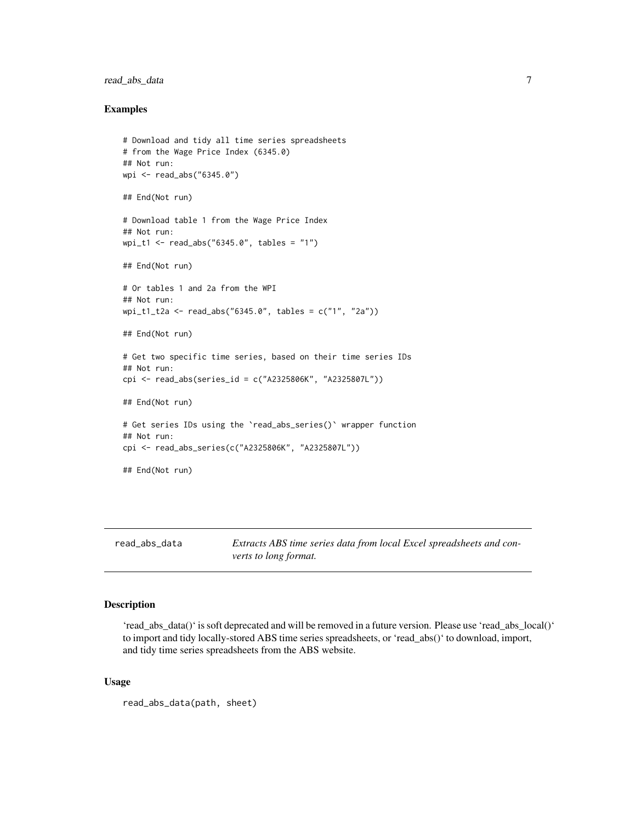# <span id="page-6-0"></span>read\_abs\_data 7

#### Examples

```
# Download and tidy all time series spreadsheets
# from the Wage Price Index (6345.0)
## Not run:
wpi <- read_abs("6345.0")
## End(Not run)
# Download table 1 from the Wage Price Index
## Not run:
wpi_t1 <- read_abs("6345.0", tables = "1")
## End(Not run)
# Or tables 1 and 2a from the WPI
## Not run:
wpi_t1_t2a <- read_abs("6345.0", tables = c("1", "2a"))
## End(Not run)
# Get two specific time series, based on their time series IDs
## Not run:
cpi <- read_abs(series_id = c("A2325806K", "A2325807L"))
## End(Not run)
# Get series IDs using the `read_abs_series()` wrapper function
## Not run:
cpi <- read_abs_series(c("A2325806K", "A2325807L"))
## End(Not run)
```
read\_abs\_data *Extracts ABS time series data from local Excel spreadsheets and converts to long format.*

# Description

'read\_abs\_data()' is soft deprecated and will be removed in a future version. Please use 'read\_abs\_local()' to import and tidy locally-stored ABS time series spreadsheets, or 'read\_abs()' to download, import, and tidy time series spreadsheets from the ABS website.

#### Usage

```
read_abs_data(path, sheet)
```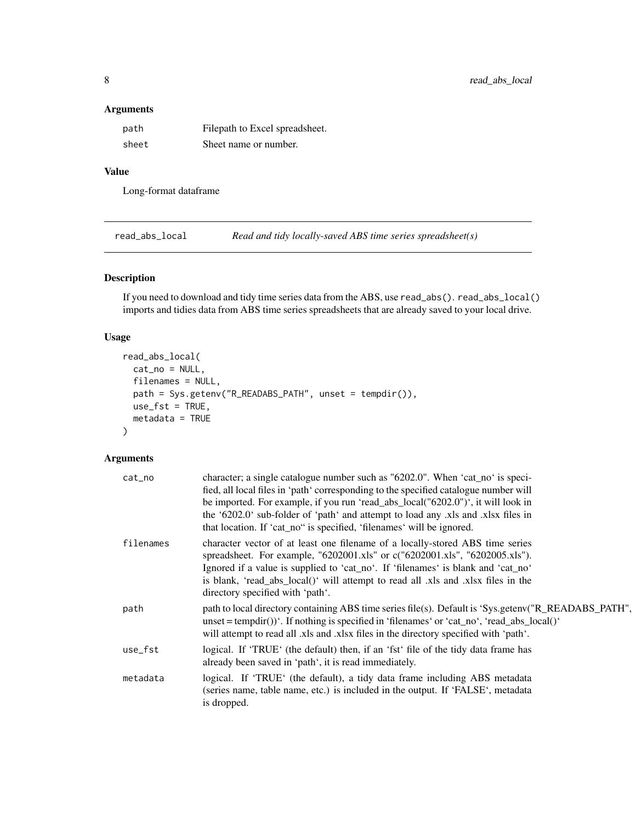# <span id="page-7-0"></span>Arguments

| path  | Filepath to Excel spreadsheet. |
|-------|--------------------------------|
| sheet | Sheet name or number.          |

# Value

Long-format dataframe

read\_abs\_local *Read and tidy locally-saved ABS time series spreadsheet(s)*

# Description

If you need to download and tidy time series data from the ABS, use read\_abs(). read\_abs\_local() imports and tidies data from ABS time series spreadsheets that are already saved to your local drive.

# Usage

```
read_abs_local(
  cat\_no = NULL,filenames = NULL,
  path = Sys.getenv("R_READABS_PATH", unset = tempdir()),
  use_fst = TRUE,metadata = TRUE
\mathcal{L}
```

| cat_no    | character; a single catalogue number such as "6202.0". When 'cat_no' is speci-<br>fied, all local files in 'path' corresponding to the specified catalogue number will<br>be imported. For example, if you run 'read_abs_local("6202.0")', it will look in<br>the '6202.0' sub-folder of 'path' and attempt to load any xls and xlsx files in<br>that location. If 'cat_no" is specified, 'filenames' will be ignored. |
|-----------|------------------------------------------------------------------------------------------------------------------------------------------------------------------------------------------------------------------------------------------------------------------------------------------------------------------------------------------------------------------------------------------------------------------------|
| filenames | character vector of at least one filename of a locally-stored ABS time series<br>spreadsheet. For example, "6202001.xls" or c("6202001.xls", "6202005.xls").<br>Ignored if a value is supplied to 'cat_no'. If 'filenames' is blank and 'cat_no'<br>is blank, 'read_abs_local()' will attempt to read all .xls and .xlsx files in the<br>directory specified with 'path'.                                              |
| path      | path to local directory containing ABS time series file(s). Default is 'Sys.getenv("R_READABS_PATH",<br>unset = tempdir())'. If nothing is specified in 'filenames' or 'cat_no', 'read_abs_local()'<br>will attempt to read all .xls and .xlsx files in the directory specified with 'path'.                                                                                                                           |
| use_fst   | logical. If 'TRUE' (the default) then, if an 'fst' file of the tidy data frame has<br>already been saved in 'path', it is read immediately.                                                                                                                                                                                                                                                                            |
| metadata  | logical. If 'TRUE' (the default), a tidy data frame including ABS metadata<br>(series name, table name, etc.) is included in the output. If 'FALSE', metadata<br>is dropped.                                                                                                                                                                                                                                           |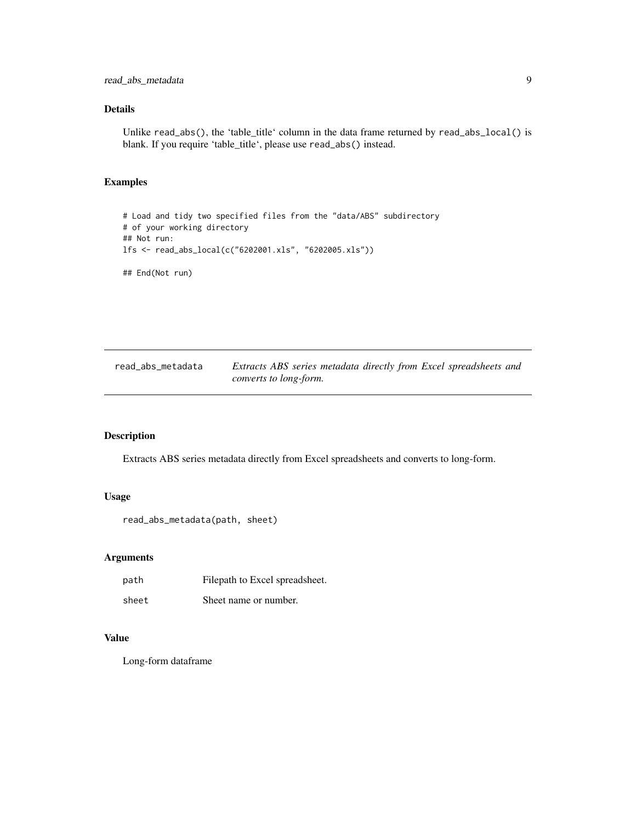# <span id="page-8-0"></span>Details

Unlike read\_abs(), the 'table\_title' column in the data frame returned by read\_abs\_local() is blank. If you require 'table\_title', please use read\_abs() instead.

# Examples

```
# Load and tidy two specified files from the "data/ABS" subdirectory
# of your working directory
## Not run:
lfs <- read_abs_local(c("6202001.xls", "6202005.xls"))
## End(Not run)
```

| read_abs_metadata | Extracts ABS series metadata directly from Excel spreadsheets and |
|-------------------|-------------------------------------------------------------------|
|                   | converts to long-form.                                            |

# Description

Extracts ABS series metadata directly from Excel spreadsheets and converts to long-form.

# Usage

```
read_abs_metadata(path, sheet)
```
# Arguments

| path  | Filepath to Excel spreadsheet. |
|-------|--------------------------------|
| sheet | Sheet name or number.          |

#### Value

Long-form dataframe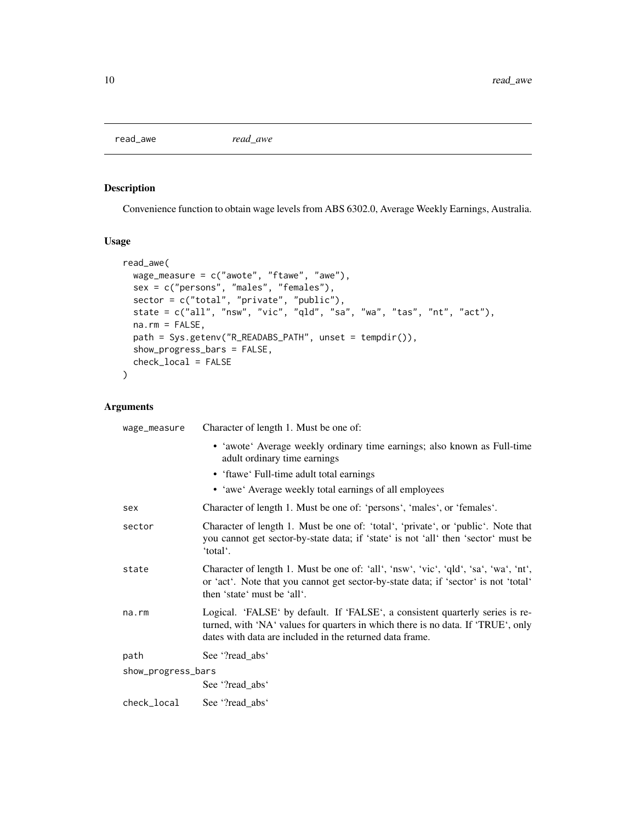<span id="page-9-0"></span>read\_awe *read\_awe*

# Description

Convenience function to obtain wage levels from ABS 6302.0, Average Weekly Earnings, Australia.

## Usage

```
read_awe(
 wage_measure = c("awote", "ftawe", "awe"),
  sex = c("persons", "males", "females"),
  sector = c("total", "private", "public"),
  state = c("all", "nsw", "vic", "qld", "sa", "wa", "tas", "nt", "act"),
 na.rm = FALSE,
 path = Sys.getenv("R_READABS_PATH", unset = tempdir()),
 show_progress_bars = FALSE,
 check_local = FALSE
\mathcal{L}
```

| wage_measure       | Character of length 1. Must be one of:                                                                                                                                                                                        |
|--------------------|-------------------------------------------------------------------------------------------------------------------------------------------------------------------------------------------------------------------------------|
|                    | • 'awote' Average weekly ordinary time earnings; also known as Full-time<br>adult ordinary time earnings                                                                                                                      |
|                    | • 'ftawe' Full-time adult total earnings                                                                                                                                                                                      |
|                    | • 'awe' Average weekly total earnings of all employees                                                                                                                                                                        |
| sex                | Character of length 1. Must be one of: 'persons', 'males', or 'females'.                                                                                                                                                      |
| sector             | Character of length 1. Must be one of: 'total', 'private', or 'public'. Note that<br>you cannot get sector-by-state data; if 'state' is not 'all' then 'sector' must be<br>'total'.                                           |
| state              | Character of length 1. Must be one of: 'all', 'nsw', 'vic', 'qld', 'sa', 'wa', 'nt',<br>or 'act'. Note that you cannot get sector-by-state data; if 'sector' is not 'total'<br>then 'state' must be 'all'.                    |
| $na$ . $rm$        | Logical. 'FALSE' by default. If 'FALSE', a consistent quarterly series is re-<br>turned, with 'NA' values for quarters in which there is no data. If 'TRUE', only<br>dates with data are included in the returned data frame. |
| path               | See '?read_abs'                                                                                                                                                                                                               |
| show_progress_bars |                                                                                                                                                                                                                               |
|                    | See '?read_abs'                                                                                                                                                                                                               |
| check_local        | See '?read_abs'                                                                                                                                                                                                               |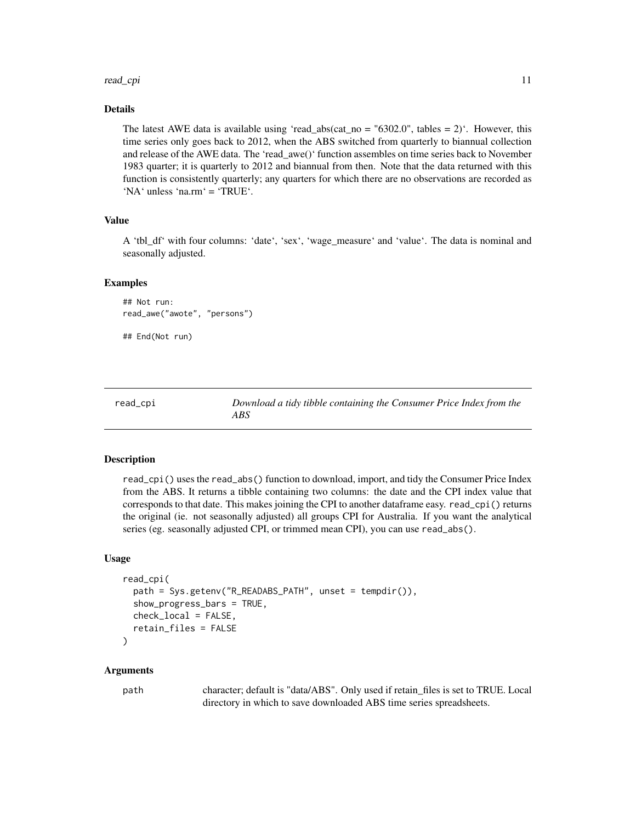#### <span id="page-10-0"></span>read\_cpi 11

#### Details

The latest AWE data is available using 'read\_abs(cat\_no = "6302.0", tables = 2)'. However, this time series only goes back to 2012, when the ABS switched from quarterly to biannual collection and release of the AWE data. The 'read\_awe()' function assembles on time series back to November 1983 quarter; it is quarterly to 2012 and biannual from then. Note that the data returned with this function is consistently quarterly; any quarters for which there are no observations are recorded as 'NA' unless 'na.rm' = 'TRUE'.

#### Value

A 'tbl\_df' with four columns: 'date', 'sex', 'wage\_measure' and 'value'. The data is nominal and seasonally adjusted.

#### Examples

```
## Not run:
read_awe("awote", "persons")
## End(Not run)
```
read\_cpi *Download a tidy tibble containing the Consumer Price Index from the ABS*

#### Description

read\_cpi() uses the read\_abs() function to download, import, and tidy the Consumer Price Index from the ABS. It returns a tibble containing two columns: the date and the CPI index value that corresponds to that date. This makes joining the CPI to another dataframe easy. read\_cpi() returns the original (ie. not seasonally adjusted) all groups CPI for Australia. If you want the analytical series (eg. seasonally adjusted CPI, or trimmed mean CPI), you can use read\_abs().

#### Usage

```
read_cpi(
  path = Sys.getenv("R_READABS_PATH", unset = tempdir()),
  show_progress_bars = TRUE,
  check_local = FALSE,
  retain_files = FALSE
\mathcal{L}
```
#### Arguments

path character; default is "data/ABS". Only used if retain\_files is set to TRUE. Local directory in which to save downloaded ABS time series spreadsheets.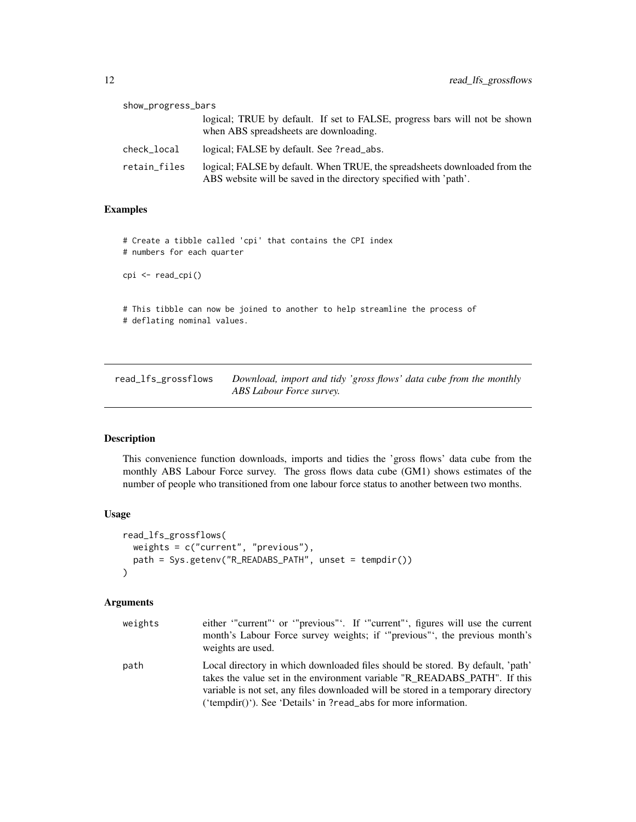<span id="page-11-0"></span>

| show_progress_bars |                                                                                                                                                 |
|--------------------|-------------------------------------------------------------------------------------------------------------------------------------------------|
|                    | logical; TRUE by default. If set to FALSE, progress bars will not be shown<br>when ABS spreadsheets are downloading.                            |
| check_local        | logical; FALSE by default. See ?read_abs.                                                                                                       |
| retain_files       | logical; FALSE by default. When TRUE, the spreadsheets downloaded from the<br>ABS website will be saved in the directory specified with 'path'. |

#### Examples

# Create a tibble called 'cpi' that contains the CPI index # numbers for each quarter cpi <- read\_cpi() # This tibble can now be joined to another to help streamline the process of # deflating nominal values.

read\_lfs\_grossflows *Download, import and tidy 'gross flows' data cube from the monthly ABS Labour Force survey.*

# Description

This convenience function downloads, imports and tidies the 'gross flows' data cube from the monthly ABS Labour Force survey. The gross flows data cube (GM1) shows estimates of the number of people who transitioned from one labour force status to another between two months.

# Usage

```
read_lfs_grossflows(
 weights = c("current", "previous"),
 path = Sys.getenv("R_READABS_PATH", unset = tempdir())
)
```

| weights | either "current" or "previous". If "current", figures will use the current<br>month's Labour Force survey weights; if "previous", the previous month's<br>weights are used.                                                                                                                                         |
|---------|---------------------------------------------------------------------------------------------------------------------------------------------------------------------------------------------------------------------------------------------------------------------------------------------------------------------|
| path    | Local directory in which downloaded files should be stored. By default, 'path'<br>takes the value set in the environment variable "R READABS PATH". If this<br>variable is not set, any files downloaded will be stored in a temporary directory<br>('tempdir()'). See 'Details' in ?read_abs for more information. |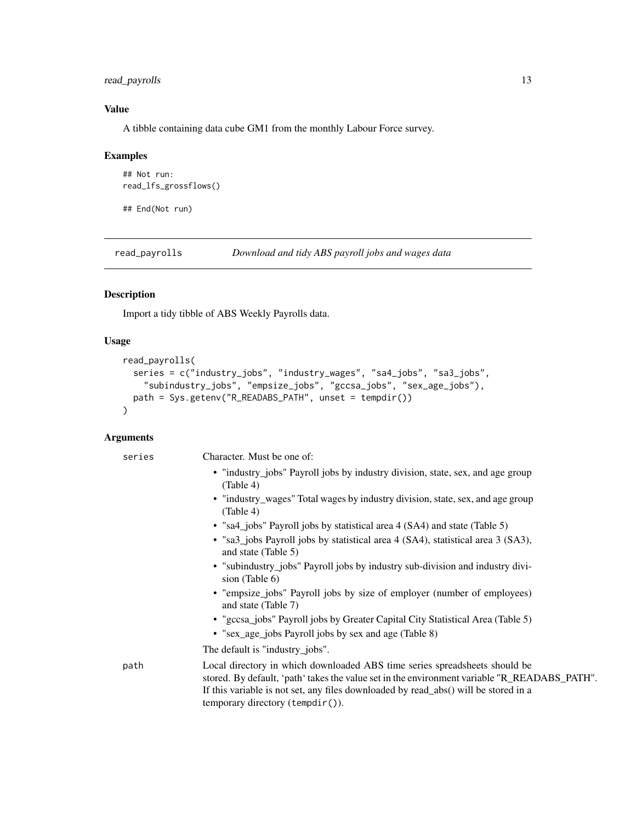# <span id="page-12-0"></span>read\_payrolls 13

# Value

A tibble containing data cube GM1 from the monthly Labour Force survey.

# Examples

```
## Not run:
read_lfs_grossflows()
```
## End(Not run)

read\_payrolls *Download and tidy ABS payroll jobs and wages data*

# Description

Import a tidy tibble of ABS Weekly Payrolls data.

# Usage

```
read_payrolls(
  series = c("industry_jobs", "industry_wages", "sa4_jobs", "sa3_jobs",
    "subindustry_jobs", "empsize_jobs", "gccsa_jobs", "sex_age_jobs"),
 path = Sys.getenv("R_READABS_PATH", unset = tempdir())
\mathcal{L}
```

| series | Character. Must be one of:                                                                                                                                                                                                                                                                            |
|--------|-------------------------------------------------------------------------------------------------------------------------------------------------------------------------------------------------------------------------------------------------------------------------------------------------------|
|        | • "industry_jobs" Payroll jobs by industry division, state, sex, and age group<br>(Table 4)                                                                                                                                                                                                           |
|        | • "industry_wages" Total wages by industry division, state, sex, and age group<br>(Table 4)                                                                                                                                                                                                           |
|        | • "sa4_jobs" Payroll jobs by statistical area 4 (SA4) and state (Table 5)                                                                                                                                                                                                                             |
|        | · "sa3_jobs Payroll jobs by statistical area 4 (SA4), statistical area 3 (SA3),<br>and state (Table 5)                                                                                                                                                                                                |
|        | • "subindustry_jobs" Payroll jobs by industry sub-division and industry divi-<br>sion (Table 6)                                                                                                                                                                                                       |
|        | • "empsize_jobs" Payroll jobs by size of employer (number of employees)<br>and state (Table 7)                                                                                                                                                                                                        |
|        | • "gccsa_jobs" Payroll jobs by Greater Capital City Statistical Area (Table 5)                                                                                                                                                                                                                        |
|        | • "sex_age_jobs Payroll jobs by sex and age (Table 8)                                                                                                                                                                                                                                                 |
|        | The default is "industry_jobs".                                                                                                                                                                                                                                                                       |
| path   | Local directory in which downloaded ABS time series spreadsheets should be<br>stored. By default, 'path' takes the value set in the environment variable "R_READABS_PATH".<br>If this variable is not set, any files downloaded by read_abs() will be stored in a<br>temporary directory (tempdir()). |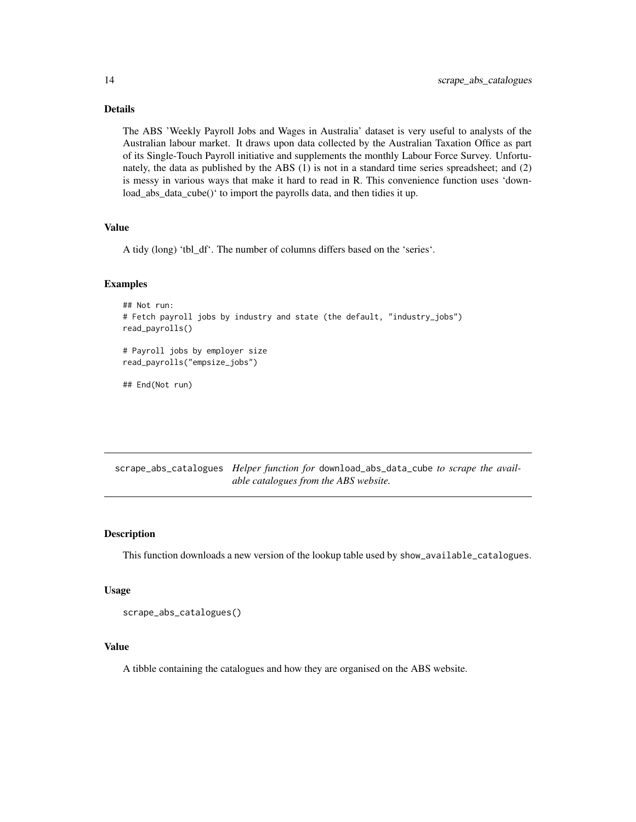# Details

The ABS 'Weekly Payroll Jobs and Wages in Australia' dataset is very useful to analysts of the Australian labour market. It draws upon data collected by the Australian Taxation Office as part of its Single-Touch Payroll initiative and supplements the monthly Labour Force Survey. Unfortunately, the data as published by the ABS (1) is not in a standard time series spreadsheet; and (2) is messy in various ways that make it hard to read in R. This convenience function uses 'download\_abs\_data\_cube()' to import the payrolls data, and then tidies it up.

# Value

A tidy (long) 'tbl\_df'. The number of columns differs based on the 'series'.

#### Examples

```
## Not run:
# Fetch payroll jobs by industry and state (the default, "industry_jobs")
read_payrolls()
# Payroll jobs by employer size
read_payrolls("empsize_jobs")
```
## End(Not run)

scrape\_abs\_catalogues *Helper function for* download\_abs\_data\_cube *to scrape the available catalogues from the ABS website.*

#### Description

This function downloads a new version of the lookup table used by show\_available\_catalogues.

#### Usage

```
scrape_abs_catalogues()
```
#### Value

A tibble containing the catalogues and how they are organised on the ABS website.

<span id="page-13-0"></span>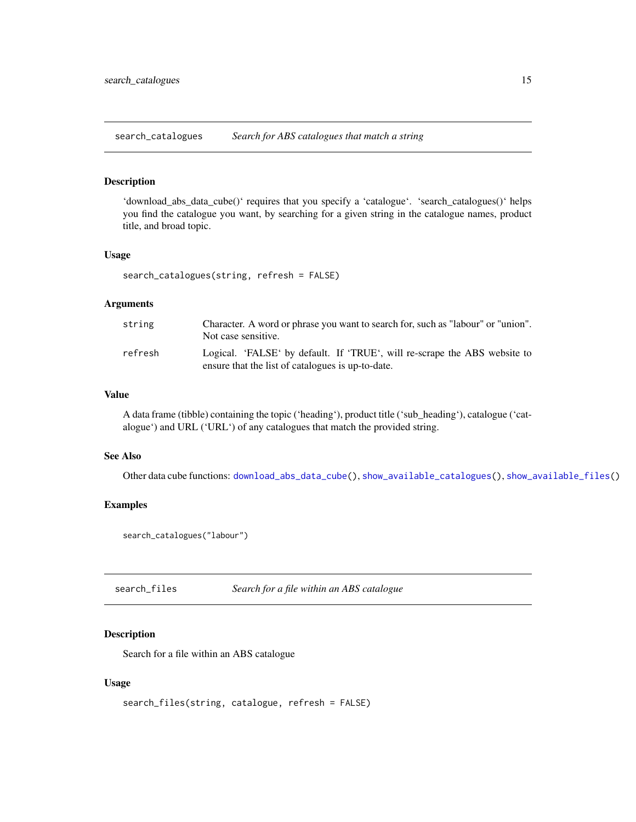<span id="page-14-1"></span><span id="page-14-0"></span>search\_catalogues *Search for ABS catalogues that match a string*

#### Description

'download\_abs\_data\_cube()' requires that you specify a 'catalogue'. 'search\_catalogues()' helps you find the catalogue you want, by searching for a given string in the catalogue names, product title, and broad topic.

#### Usage

search\_catalogues(string, refresh = FALSE)

#### Arguments

| string  | Character. A word or phrase you want to search for, such as "labour" or "union".<br>Not case sensitive.                        |
|---------|--------------------------------------------------------------------------------------------------------------------------------|
| refresh | Logical. 'FALSE' by default. If 'TRUE', will re-scrape the ABS website to<br>ensure that the list of catalogues is up-to-date. |

# Value

A data frame (tibble) containing the topic ('heading'), product title ('sub\_heading'), catalogue ('catalogue') and URL ('URL') of any catalogues that match the provided string.

# See Also

Other data cube functions: [download\\_abs\\_data\\_cube\(](#page-2-1)), [show\\_available\\_catalogues\(](#page-16-1)), [show\\_available\\_files\(](#page-17-1))

#### Examples

```
search_catalogues("labour")
```
search\_files *Search for a file within an ABS catalogue*

# Description

Search for a file within an ABS catalogue

## Usage

```
search_files(string, catalogue, refresh = FALSE)
```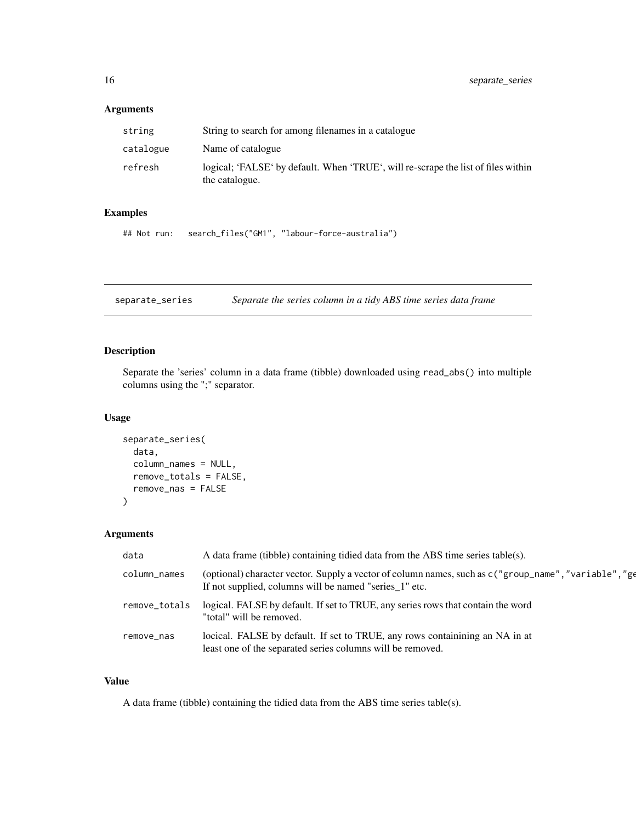# <span id="page-15-0"></span>Arguments

| string    | String to search for among filenames in a catalogue                                                 |
|-----------|-----------------------------------------------------------------------------------------------------|
| catalogue | Name of catalogue                                                                                   |
| refresh   | logical; 'FALSE' by default. When 'TRUE', will re-scrape the list of files within<br>the catalogue. |

#### Examples

```
## Not run: search_files("GM1", "labour-force-australia")
```
separate\_series *Separate the series column in a tidy ABS time series data frame*

# Description

Separate the 'series' column in a data frame (tibble) downloaded using read\_abs() into multiple columns using the ";" separator.

#### Usage

```
separate_series(
  data,
  column_names = NULL,
  remove_totals = FALSE,
 remove_nas = FALSE
)
```
# Arguments

| data          | A data frame (tibble) containing tidied data from the ABS time series table(s).                                                                                  |
|---------------|------------------------------------------------------------------------------------------------------------------------------------------------------------------|
| column_names  | (optional) character vector. Supply a vector of column names, such as c ("group_name", "variable", "ge<br>If not supplied, columns will be named "series_1" etc. |
| remove_totals | logical. FALSE by default. If set to TRUE, any series rows that contain the word<br>"total" will be removed.                                                     |
| remove_nas    | locical. FALSE by default. If set to TRUE, any rows containining an NA in at<br>least one of the separated series columns will be removed.                       |

#### Value

A data frame (tibble) containing the tidied data from the ABS time series table(s).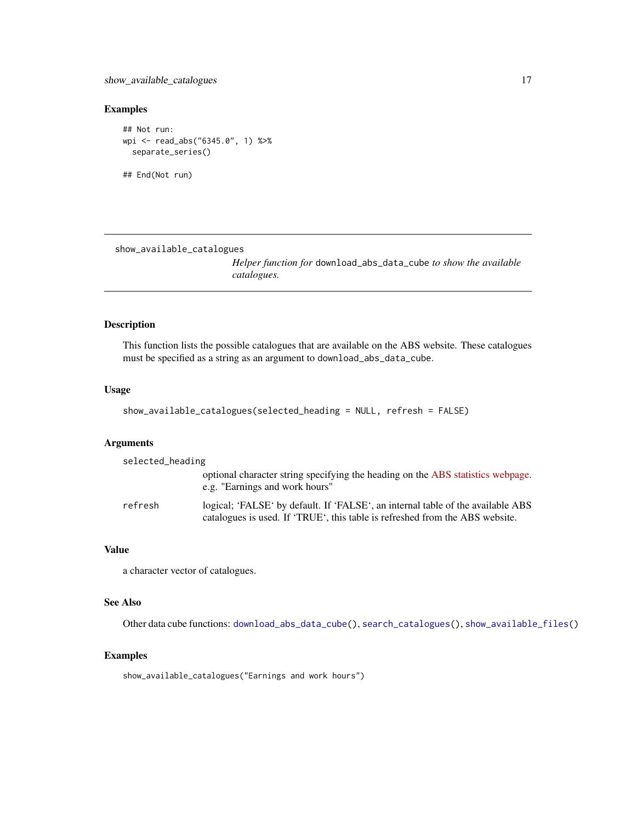<span id="page-16-0"></span>show\_available\_catalogues 17

# Examples

```
## Not run:
wpi <- read_abs("6345.0", 1) %>%
  separate_series()
```
## End(Not run)

<span id="page-16-1"></span>show\_available\_catalogues

*Helper function for* download\_abs\_data\_cube *to show the available catalogues.*

# Description

This function lists the possible catalogues that are available on the ABS website. These catalogues must be specified as a string as an argument to download\_abs\_data\_cube.

# Usage

```
show_available_catalogues(selected_heading = NULL, refresh = FALSE)
```
#### Arguments

| selected_heading |                                                                                                                                                                 |
|------------------|-----------------------------------------------------------------------------------------------------------------------------------------------------------------|
|                  | optional character string specifying the heading on the ABS statistics webpage.                                                                                 |
|                  | e.g. "Earnings and work hours"                                                                                                                                  |
| refresh          | logical; 'FALSE' by default. If 'FALSE', an internal table of the available ABS<br>catalogues is used. If 'TRUE', this table is refreshed from the ABS website. |

# Value

a character vector of catalogues.

#### See Also

Other data cube functions: [download\\_abs\\_data\\_cube\(](#page-2-1)), [search\\_catalogues\(](#page-14-1)), [show\\_available\\_files\(](#page-17-1))

# Examples

show\_available\_catalogues("Earnings and work hours")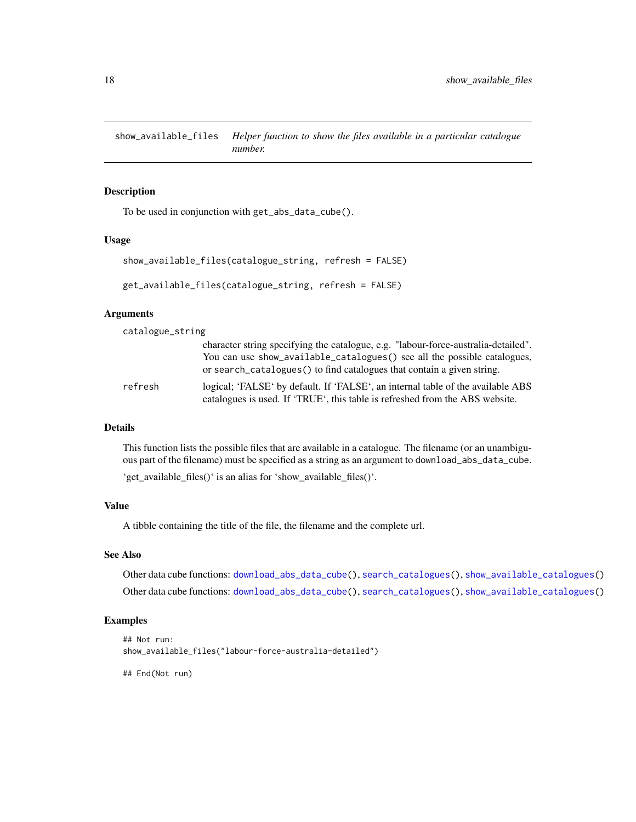<span id="page-17-1"></span><span id="page-17-0"></span>show\_available\_files *Helper function to show the files available in a particular catalogue number.*

## Description

To be used in conjunction with get\_abs\_data\_cube().

#### Usage

```
show_available_files(catalogue_string, refresh = FALSE)
get_available_files(catalogue_string, refresh = FALSE)
```
#### Arguments

catalogue\_string

|         | character string specifying the catalogue, e.g. "labour-force-australia-detailed".<br>You can use show_available_catalogues() see all the possible catalogues,<br>or search catalogues () to find catalogues that contain a given string. |
|---------|-------------------------------------------------------------------------------------------------------------------------------------------------------------------------------------------------------------------------------------------|
| refresh | logical; 'FALSE' by default. If 'FALSE', an internal table of the available ABS<br>catalogues is used. If 'TRUE', this table is refreshed from the ABS website.                                                                           |

#### Details

This function lists the possible files that are available in a catalogue. The filename (or an unambiguous part of the filename) must be specified as a string as an argument to download\_abs\_data\_cube.

'get\_available\_files()' is an alias for 'show\_available\_files()'.

# Value

A tibble containing the title of the file, the filename and the complete url.

# See Also

Other data cube functions: [download\\_abs\\_data\\_cube\(](#page-2-1)), [search\\_catalogues\(](#page-14-1)), [show\\_available\\_catalogues\(](#page-16-1)) Other data cube functions: [download\\_abs\\_data\\_cube\(](#page-2-1)), [search\\_catalogues\(](#page-14-1)), [show\\_available\\_catalogues\(](#page-16-1))

## Examples

```
## Not run:
show_available_files("labour-force-australia-detailed")
```
## End(Not run)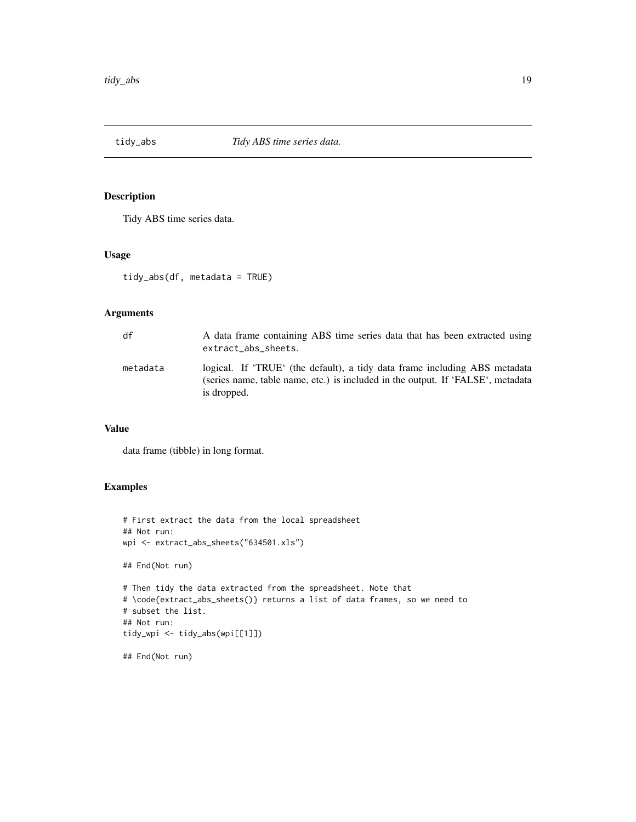<span id="page-18-0"></span>

# Description

Tidy ABS time series data.

#### Usage

tidy\_abs(df, metadata = TRUE)

# Arguments

| df       | A data frame containing ABS time series data that has been extracted using<br>extract_abs_sheets.                                                                            |
|----------|------------------------------------------------------------------------------------------------------------------------------------------------------------------------------|
| metadata | logical. If 'TRUE' (the default), a tidy data frame including ABS metadata<br>(series name, table name, etc.) is included in the output. If 'FALSE', metadata<br>is dropped. |

# Value

data frame (tibble) in long format.

# Examples

```
# First extract the data from the local spreadsheet
## Not run:
wpi <- extract_abs_sheets("634501.xls")
## End(Not run)
# Then tidy the data extracted from the spreadsheet. Note that
# \code{extract_abs_sheets()} returns a list of data frames, so we need to
# subset the list.
## Not run:
tidy_wpi <- tidy_abs(wpi[[1]])
## End(Not run)
```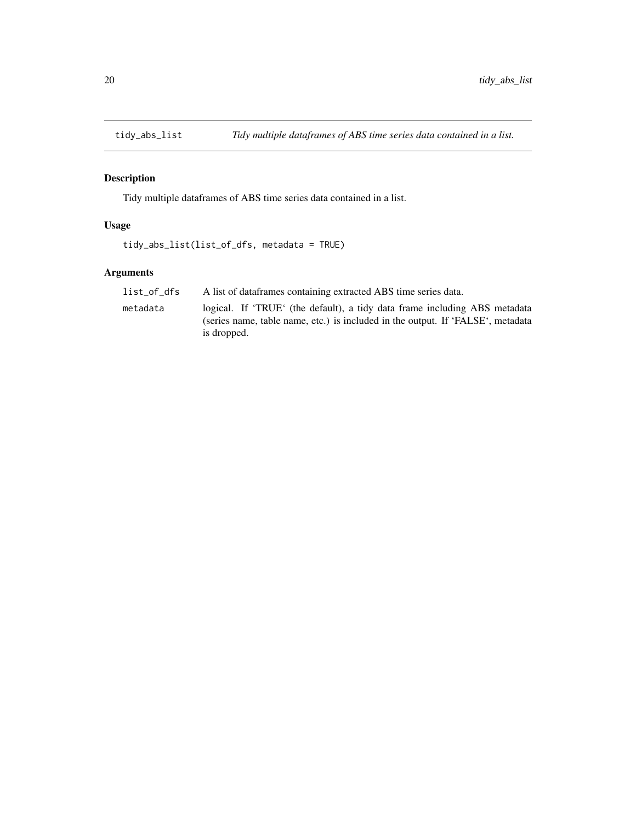<span id="page-19-0"></span>

# Description

Tidy multiple dataframes of ABS time series data contained in a list.

# Usage

```
tidy_abs_list(list_of_dfs, metadata = TRUE)
```

| list of dfs | A list of data frames containing extracted ABS time series data.                                                                                                             |
|-------------|------------------------------------------------------------------------------------------------------------------------------------------------------------------------------|
| metadata    | logical. If 'TRUE' (the default), a tidy data frame including ABS metadata<br>(series name, table name, etc.) is included in the output. If 'FALSE', metadata<br>is dropped. |